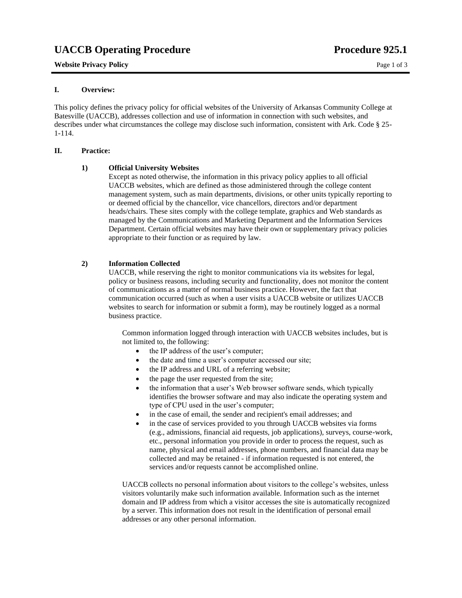# UACCB Operating Procedure **Procedure Procedure Procedure** 925.1

## **Website Privacy Policy Page 1 of 3** Page 1 of 3

## **I. Overview:**

This policy defines the privacy policy for official websites of the University of Arkansas Community College at Batesville (UACCB), addresses collection and use of information in connection with such websites, and describes under what circumstances the college may disclose such information, consistent with Ark. Code § 25- 1-114.

## **II. Practice:**

## **1) Official University Websites**

Except as noted otherwise, the information in this privacy policy applies to all official UACCB websites, which are defined as those administered through the college content management system, such as main departments, divisions, or other units typically reporting to or deemed official by the chancellor, vice chancellors, directors and/or department heads/chairs. These sites comply with the college template, graphics and Web standards as managed by the Communications and Marketing Department and the Information Services Department. Certain official websites may have their own or supplementary privacy policies appropriate to their function or as required by law.

## **2) Information Collected**

UACCB, while reserving the right to monitor communications via its websites for legal, policy or business reasons, including security and functionality, does not monitor the content of communications as a matter of normal business practice. However, the fact that communication occurred (such as when a user visits a UACCB website or utilizes UACCB websites to search for information or submit a form), may be routinely logged as a normal business practice.

Common information logged through interaction with UACCB websites includes, but is not limited to, the following:

- the IP address of the user's computer:
- the date and time a user's computer accessed our site;
- the IP address and URL of a referring website;
- the page the user requested from the site;
- the information that a user's Web browser software sends, which typically identifies the browser software and may also indicate the operating system and type of CPU used in the user's computer;
- in the case of email, the sender and recipient's email addresses; and
- in the case of services provided to you through UACCB websites via forms (e.g., admissions, financial aid requests, job applications), surveys, course-work, etc., personal information you provide in order to process the request, such as name, physical and email addresses, phone numbers, and financial data may be collected and may be retained - if information requested is not entered, the services and/or requests cannot be accomplished online.

UACCB collects no personal information about visitors to the college's websites, unless visitors voluntarily make such information available. Information such as the internet domain and IP address from which a visitor accesses the site is automatically recognized by a server. This information does not result in the identification of personal email addresses or any other personal information.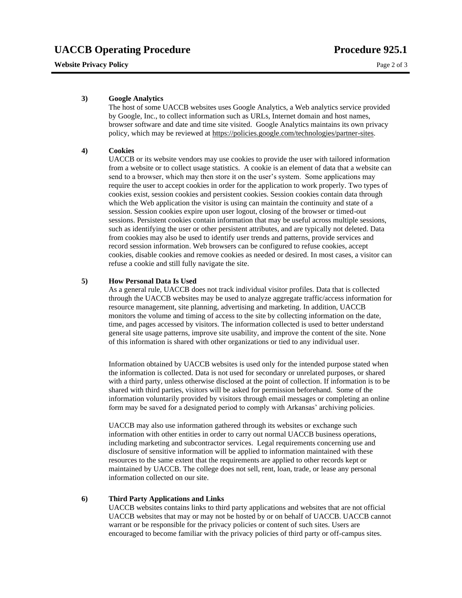#### **Website Privacy Policy Page 2 of 3** Page 2 of 3

#### **3) Google Analytics**

The host of some UACCB websites uses Google Analytics, a Web analytics service provided by Google, Inc., to collect information such as URLs, Internet domain and host names, browser software and date and time site visited. Google Analytics maintains its own privacy policy, which may be reviewed at [https://policies.google.com/technologies/partner-sites.](https://policies.google.com/technologies/partner-sites)

## **4) Cookies**

UACCB or its website vendors may use cookies to provide the user with tailored information from a website or to collect usage statistics. A cookie is an element of data that a website can send to a browser, which may then store it on the user's system. Some applications may require the user to accept cookies in order for the application to work properly. Two types of cookies exist, session cookies and persistent cookies. Session cookies contain data through which the Web application the visitor is using can maintain the continuity and state of a session. Session cookies expire upon user logout, closing of the browser or timed-out sessions. Persistent cookies contain information that may be useful across multiple sessions, such as identifying the user or other persistent attributes, and are typically not deleted. Data from cookies may also be used to identify user trends and patterns, provide services and record session information. Web browsers can be configured to refuse cookies, accept cookies, disable cookies and remove cookies as needed or desired. In most cases, a visitor can refuse a cookie and still fully navigate the site.

#### **5) How Personal Data Is Used**

As a general rule, UACCB does not track individual visitor profiles. Data that is collected through the UACCB websites may be used to analyze aggregate traffic/access information for resource management, site planning, advertising and marketing. In addition, UACCB monitors the volume and timing of access to the site by collecting information on the date, time, and pages accessed by visitors. The information collected is used to better understand general site usage patterns, improve site usability, and improve the content of the site. None of this information is shared with other organizations or tied to any individual user.

Information obtained by UACCB websites is used only for the intended purpose stated when the information is collected. Data is not used for secondary or unrelated purposes, or shared with a third party, unless otherwise disclosed at the point of collection. If information is to be shared with third parties, visitors will be asked for permission beforehand. Some of the information voluntarily provided by visitors through email messages or completing an online form may be saved for a designated period to comply with Arkansas' archiving policies.

UACCB may also use information gathered through its websites or exchange such information with other entities in order to carry out normal UACCB business operations, including marketing and subcontractor services. Legal requirements concerning use and disclosure of sensitive information will be applied to information maintained with these resources to the same extent that the requirements are applied to other records kept or maintained by UACCB. The college does not sell, rent, loan, trade, or lease any personal information collected on our site.

#### **6) Third Party Applications and Links**

UACCB websites contains links to third party applications and websites that are not official UACCB websites that may or may not be hosted by or on behalf of UACCB. UACCB cannot warrant or be responsible for the privacy policies or content of such sites. Users are encouraged to become familiar with the privacy policies of third party or off-campus sites.